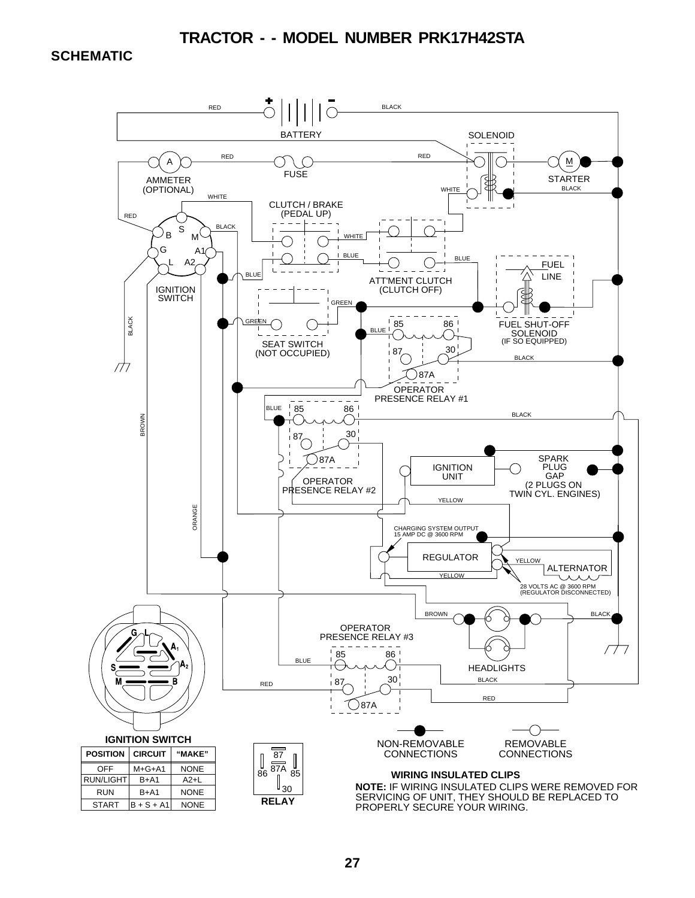**SCHEMATIC**

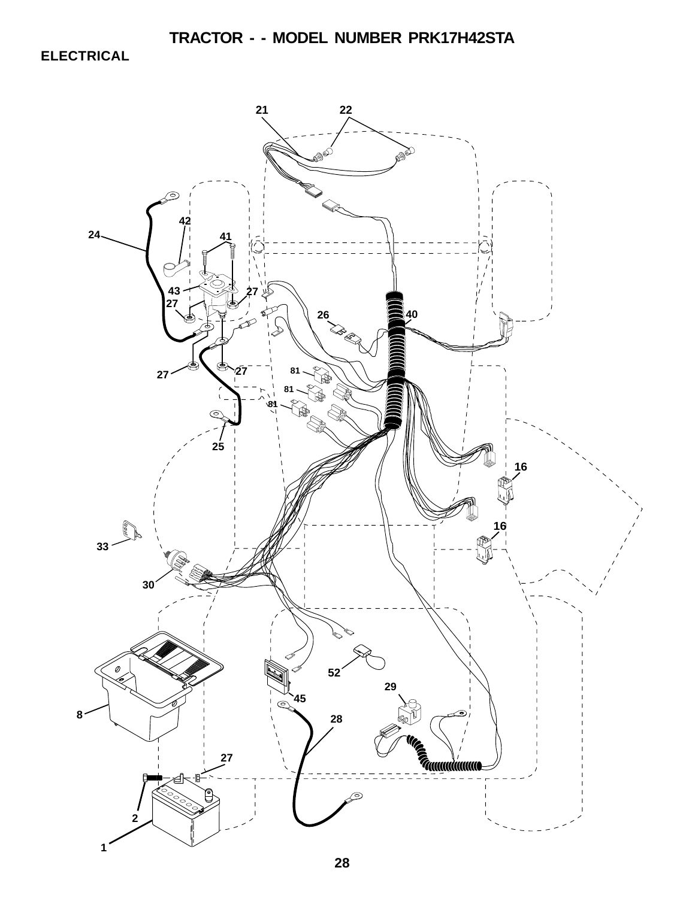**ELECTRICAL**

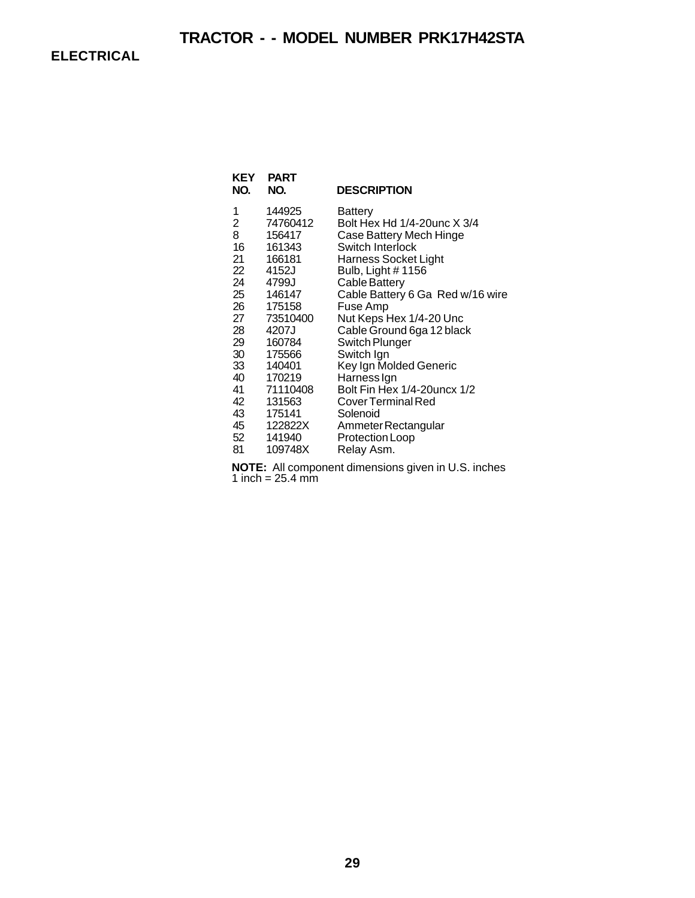**ELECTRICAL**

| KEY<br>NO.      | PART<br>NO. | <b>DESCRIPTION</b>               |
|-----------------|-------------|----------------------------------|
| 1               | 144925      | Battery                          |
| 2               | 74760412    | Bolt Hex Hd 1/4-20unc X 3/4      |
| 8               | 156417      | Case Battery Mech Hinge          |
| 16              | 161343      | Switch Interlock                 |
| 21              | 166181      | Harness Socket Light             |
| 22              | 4152J       | Bulb, Light #1156                |
| 24              | 4799J       | Cable Battery                    |
| 25              | 146147      | Cable Battery 6 Ga Red w/16 wire |
| 26              | 175158      | Fuse Amp                         |
| 27              | 73510400    | Nut Keps Hex 1/4-20 Unc          |
| 28              | 4207J       | Cable Ground 6ga 12 black        |
| 29              | 160784      | Switch Plunger                   |
| 30              | 175566      | Switch Ign                       |
| 33              | 140401      | Key Ign Molded Generic           |
| 40              | 170219      | Harness Ign                      |
| 41              | 71110408    | Bolt Fin Hex 1/4-20 uncx 1/2     |
| 42              | 131563      | <b>Cover Terminal Red</b>        |
| 43              | 175141      | Solenoid                         |
| 45              | 122822X     | Ammeter Rectangular              |
| 52 <sub>2</sub> | 141940      | Protection Loop                  |
| 81              | 109748X     | Relay Asm.                       |

**NOTE:** All component dimensions given in U.S. inches 1 inch =  $25.4$  mm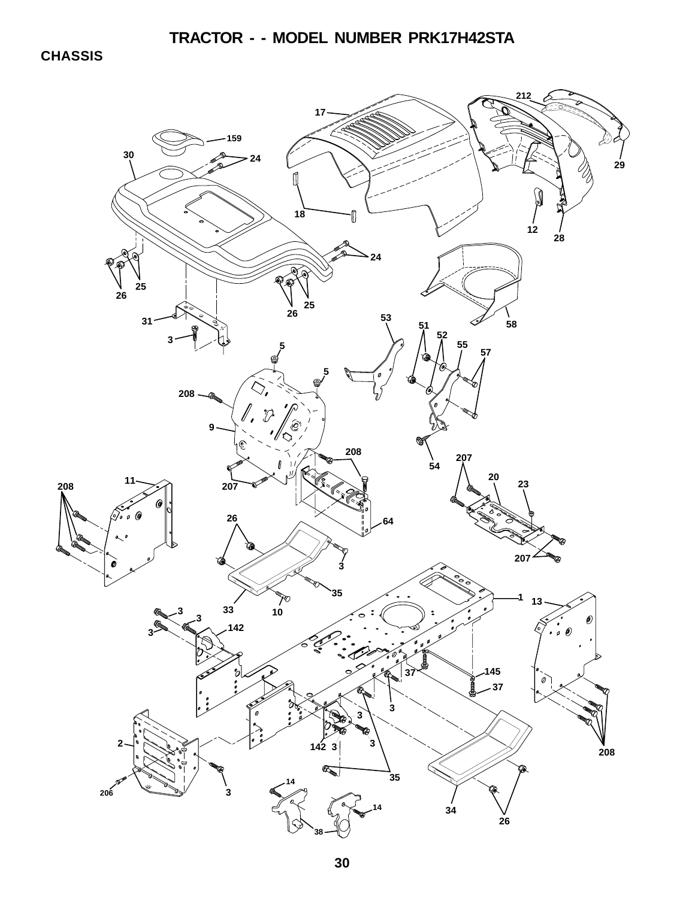**CHASSIS**

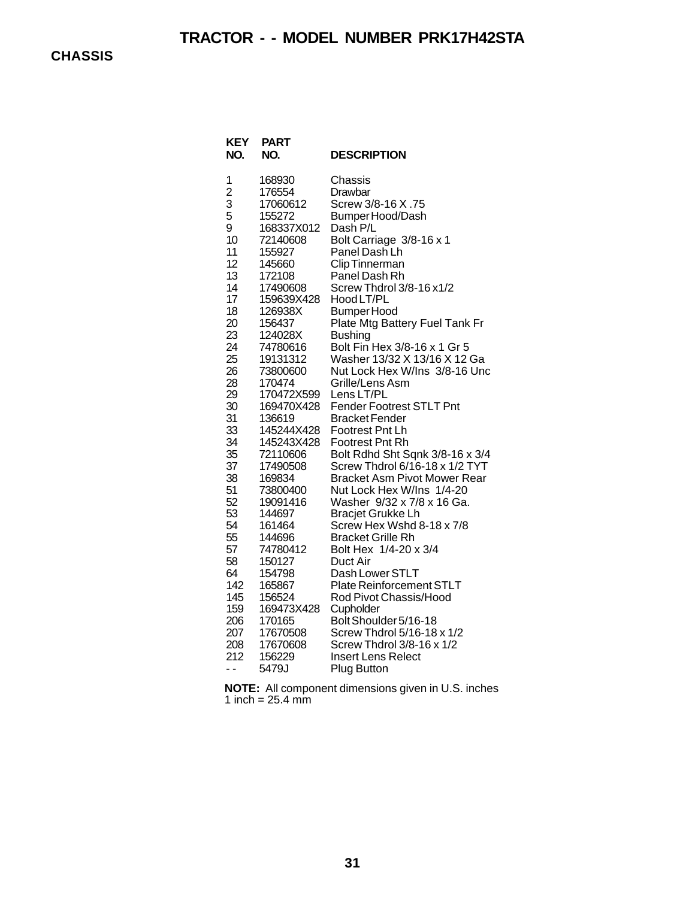| KEY<br>NO.     | PART<br>NO.          | <b>DESCRIPTION</b>                                 |
|----------------|----------------------|----------------------------------------------------|
| 1              | 168930               | Chassis                                            |
| $\overline{c}$ | 176554               | Drawbar                                            |
| 3              | 17060612             | Screw 3/8-16 X .75                                 |
| 5              | 155272               | Bumper Hood/Dash                                   |
| 9              | 168337X012           | Dash P/L                                           |
| 10             | 72140608             | Bolt Carriage 3/8-16 x 1                           |
| 11             | 155927               | Panel Dash Lh                                      |
| 12<br>13       | 145660               | Clip Tinnerman<br>Panel Dash Rh                    |
| 14             | 172108<br>17490608   | Screw Thdrol 3/8-16 x1/2                           |
| 17             | 159639X428           | Hood LT/PL                                         |
| 18             | 126938X              | <b>Bumper Hood</b>                                 |
| 20             | 156437               | Plate Mtg Battery Fuel Tank Fr                     |
| 23             | 124028X              | <b>Bushing</b>                                     |
| 24             | 74780616             | Bolt Fin Hex 3/8-16 x 1 Gr 5                       |
| 25             | 19131312             | Washer 13/32 X 13/16 X 12 Ga                       |
| 26             | 73800600             | Nut Lock Hex W/Ins 3/8-16 Unc                      |
| 28             | 170474               | Grille/Lens Asm                                    |
| 29             | 170472X599           | Lens LT/PL                                         |
| 30             | 169470X428           | <b>Fender Footrest STLT Pnt</b>                    |
| 31             | 136619               | <b>Bracket Fender</b>                              |
| 33             | 145244X428           | Footrest Pnt Lh                                    |
| 34             | 145243X428           | Footrest Pnt Rh                                    |
| 35             | 72110606             | Bolt Rdhd Sht Sqnk 3/8-16 x 3/4                    |
| 37             | 17490508             | Screw Thdrol 6/16-18 x 1/2 TYT                     |
| 38             | 169834               | <b>Bracket Asm Pivot Mower Rear</b>                |
| 51             | 73800400             | Nut Lock Hex W/Ins 1/4-20                          |
| 52             | 19091416             | Washer 9/32 x 7/8 x 16 Ga.                         |
| 53             | 144697               | <b>Bracjet Grukke Lh</b>                           |
| 54             | 161464               | Screw Hex Wshd 8-18 x 7/8                          |
| 55             | 144696               | <b>Bracket Grille Rh</b>                           |
| 57             | 74780412             | Bolt Hex 1/4-20 x 3/4                              |
| 58             | 150127               | Duct Air                                           |
| 64<br>142      | 154798               | Dash Lower STLT<br><b>Plate Reinforcement STLT</b> |
| 145            | 165867               | Rod Pivot Chassis/Hood                             |
| 159            | 156524<br>169473X428 | Cupholder                                          |
| 206            | 170165               | Bolt Shoulder 5/16-18                              |
| 207            | 17670508             | Screw Thdrol 5/16-18 x 1/2                         |
| 208            | 17670608             | Screw Thdrol 3/8-16 x 1/2                          |
| 212            | 156229               | <b>Insert Lens Relect</b>                          |
| ٠.             | 5479J                | Plug Button                                        |
|                |                      |                                                    |

**NOTE:** All component dimensions given in U.S. inches 1 inch =  $25.4 \, \text{mm}$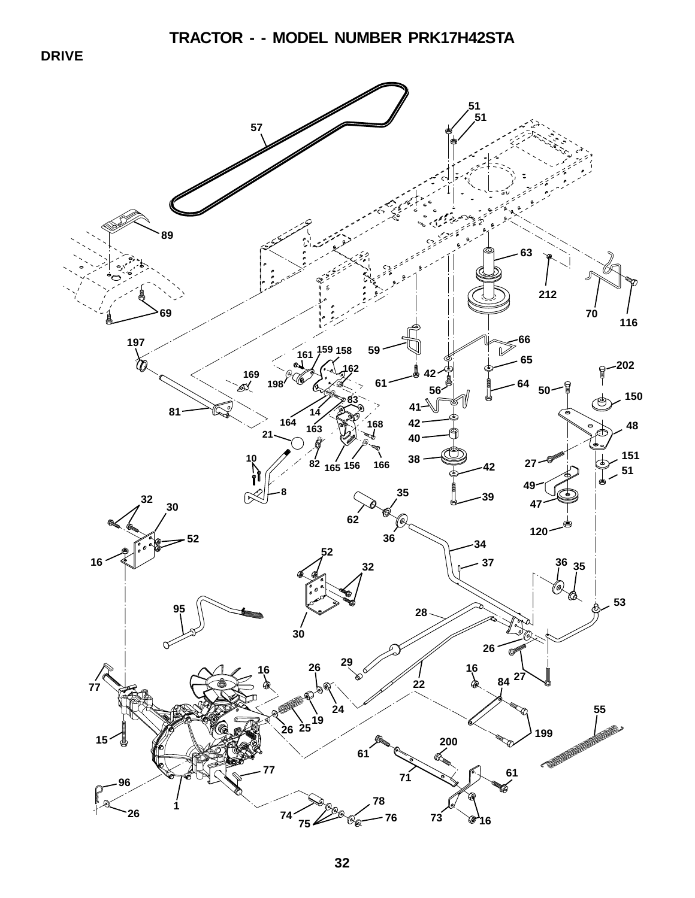**DRIVE**

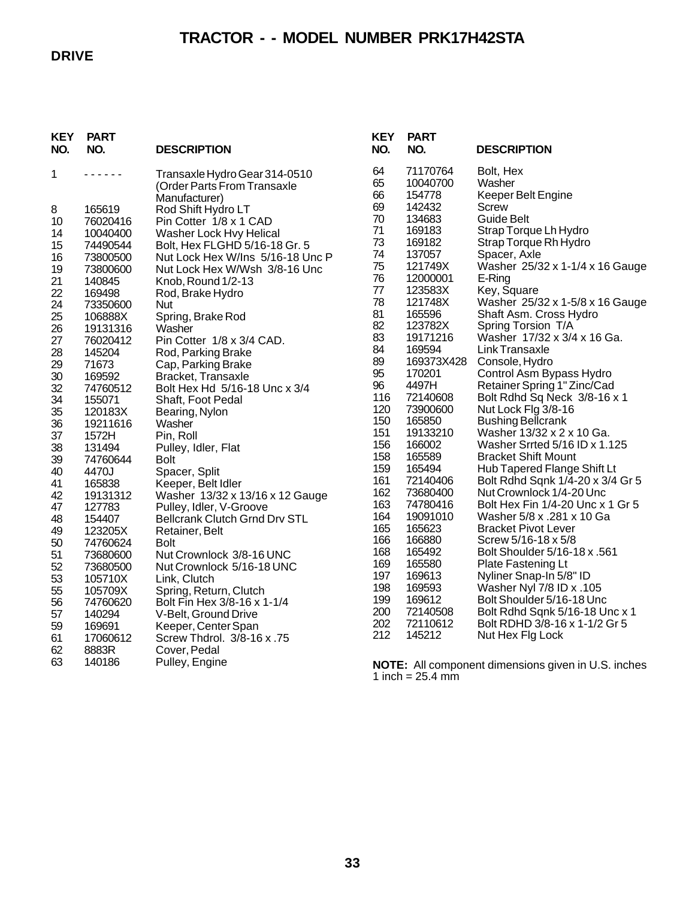### **DRIVE**

## **TRACTOR - - MODEL NUMBER PRK17H42STA**

| <b>KEY</b><br>NO. | <b>PART</b><br>NO.   | <b>DESCRIPTION</b>                                                            | <b>KEY</b><br>NO. | <b>PART</b><br>NO.             | <b>DESCRIPTION</b>                                         |
|-------------------|----------------------|-------------------------------------------------------------------------------|-------------------|--------------------------------|------------------------------------------------------------|
| 1                 | .                    | Transaxle Hydro Gear 314-0510<br>(Order Parts From Transaxle<br>Manufacturer) | 64<br>65<br>66    | 71170764<br>10040700<br>154778 | Bolt, Hex<br>Washer<br><b>Keeper Belt Engine</b>           |
| 8                 | 165619               | Rod Shift Hydro LT                                                            | 69                | 142432                         | <b>Screw</b>                                               |
| 10                | 76020416             | Pin Cotter 1/8 x 1 CAD                                                        | 70                | 134683                         | <b>Guide Belt</b>                                          |
| 14                | 10040400             | Washer Lock Hvy Helical                                                       | 71<br>73          | 169183<br>169182               | Strap Torque Lh Hydro<br>Strap Torque Rh Hydro             |
| 15                | 74490544             | Bolt, Hex FLGHD 5/16-18 Gr. 5                                                 | 74                | 137057                         | Spacer, Axle                                               |
| 16<br>19          | 73800500<br>73800600 | Nut Lock Hex W/Ins 5/16-18 Unc P<br>Nut Lock Hex W/Wsh 3/8-16 Unc             | 75                | 121749X                        | Washer 25/32 x 1-1/4 x 16 Gauge                            |
| 21                | 140845               | Knob, Round 1/2-13                                                            | 76                | 12000001                       | E-Ring                                                     |
| 22                | 169498               | Rod, Brake Hydro                                                              | 77                | 123583X                        | Key, Square                                                |
| 24                | 73350600             | Nut                                                                           | 78                | 121748X                        | Washer 25/32 x 1-5/8 x 16 Gauge                            |
| 25                | 106888X              | Spring, Brake Rod                                                             | 81                | 165596                         | Shaft Asm. Cross Hydro                                     |
| 26                | 19131316             | Washer                                                                        | 82<br>83          | 123782X<br>19171216            | Spring Torsion T/A<br>Washer 17/32 x 3/4 x 16 Ga.          |
| 27                | 76020412             | Pin Cotter 1/8 x 3/4 CAD.                                                     | 84                | 169594                         | Link Transaxle                                             |
| 28<br>29          | 145204<br>71673      | Rod, Parking Brake<br>Cap, Parking Brake                                      | 89                | 169373X428                     | Console, Hydro                                             |
| 30                | 169592               | Bracket, Transaxle                                                            | 95                | 170201                         | Control Asm Bypass Hydro                                   |
| 32                | 74760512             | Bolt Hex Hd 5/16-18 Unc x 3/4                                                 | 96                | 4497H                          | Retainer Spring 1" Zinc/Cad                                |
| 34                | 155071               | Shaft, Foot Pedal                                                             | 116               | 72140608                       | Bolt Rdhd Sq Neck 3/8-16 x 1                               |
| 35                | 120183X              | Bearing, Nylon                                                                | 120               | 73900600                       | Nut Lock Flg 3/8-16                                        |
| 36                | 19211616             | Washer                                                                        | 150               | 165850                         | <b>Bushing Bellcrank</b>                                   |
| 37                | 1572H                | Pin, Roll                                                                     | 151<br>156        | 19133210<br>166002             | Washer 13/32 x 2 x 10 Ga.<br>Washer Srrted 5/16 ID x 1.125 |
| 38<br>39          | 131494<br>74760644   | Pulley, Idler, Flat<br><b>Bolt</b>                                            | 158               | 165589                         | <b>Bracket Shift Mount</b>                                 |
| 40                | 4470J                | Spacer, Split                                                                 | 159               | 165494                         | Hub Tapered Flange Shift Lt                                |
| 41                | 165838               | Keeper, Belt Idler                                                            | 161               | 72140406                       | Bolt Rdhd Sqnk 1/4-20 x 3/4 Gr 5                           |
| 42                | 19131312             | Washer 13/32 x 13/16 x 12 Gauge                                               | 162               | 73680400                       | Nut Crownlock 1/4-20 Unc                                   |
| 47                | 127783               | Pulley, Idler, V-Groove                                                       | 163               | 74780416                       | Bolt Hex Fin 1/4-20 Unc x 1 Gr 5                           |
| 48                | 154407               | <b>Bellcrank Clutch Grnd Drv STL</b>                                          | 164               | 19091010                       | Washer 5/8 x .281 x 10 Ga                                  |
| 49                | 123205X              | Retainer, Belt                                                                | 165<br>166        | 165623<br>166880               | <b>Bracket Pivot Lever</b>                                 |
| 50                | 74760624             | <b>Bolt</b>                                                                   | 168               | 165492                         | Screw 5/16-18 x 5/8<br>Bolt Shoulder 5/16-18 x .561        |
| 51                | 73680600             | Nut Crownlock 3/8-16 UNC                                                      | 169               | 165580                         | Plate Fastening Lt                                         |
| 52<br>53          | 73680500<br>105710X  | Nut Crownlock 5/16-18 UNC<br>Link, Clutch                                     | 197               | 169613                         | Nyliner Snap-In 5/8" ID                                    |
| 55                | 105709X              | Spring, Return, Clutch                                                        | 198               | 169593                         | Washer Nyl 7/8 ID x .105                                   |
| 56                | 74760620             | Bolt Fin Hex 3/8-16 x 1-1/4                                                   | 199               | 169612                         | Bolt Shoulder 5/16-18 Unc                                  |
| 57                | 140294               | V-Belt, Ground Drive                                                          | 200               | 72140508                       | Bolt Rdhd Sqnk 5/16-18 Unc x 1                             |
| 59                | 169691               | Keeper, Center Span                                                           | 202               | 72110612                       | Bolt RDHD 3/8-16 x 1-1/2 Gr 5                              |
| 61                | 17060612             | Screw Thdrol. 3/8-16 x .75                                                    | 212               | 145212                         | Nut Hex Flg Lock                                           |
| 62                | 8883R                | Cover, Pedal                                                                  |                   |                                |                                                            |
| 63                | 140186               | Pulley, Engine                                                                |                   |                                | NOTE: All component dimensions given in U.S. inches        |
|                   |                      |                                                                               |                   | 1 inch = $25.4$ mm             |                                                            |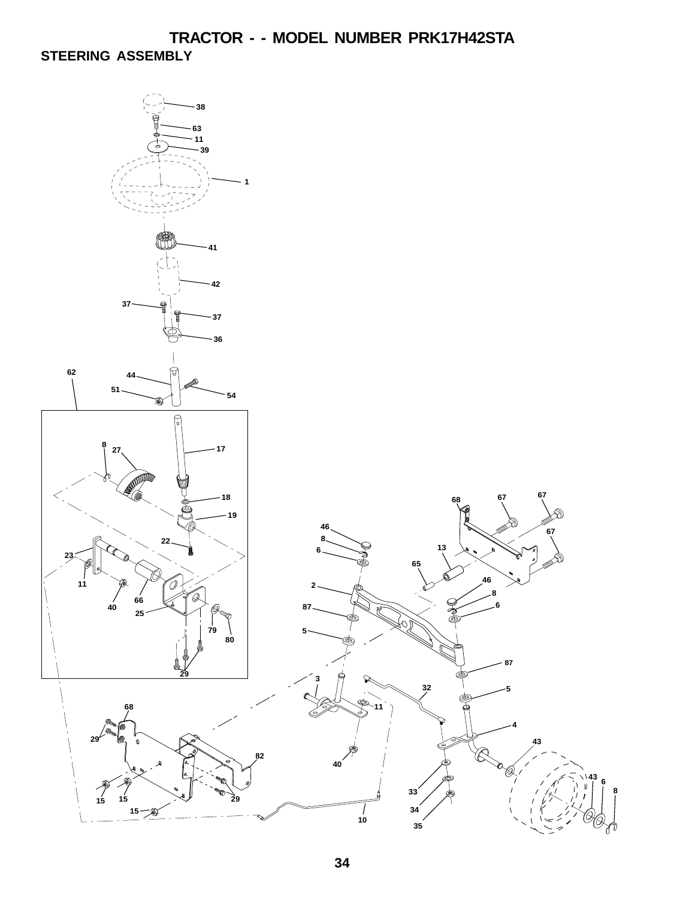**TRACTOR - - MODEL NUMBER PRK17H42STA STEERING ASSEMBLY**

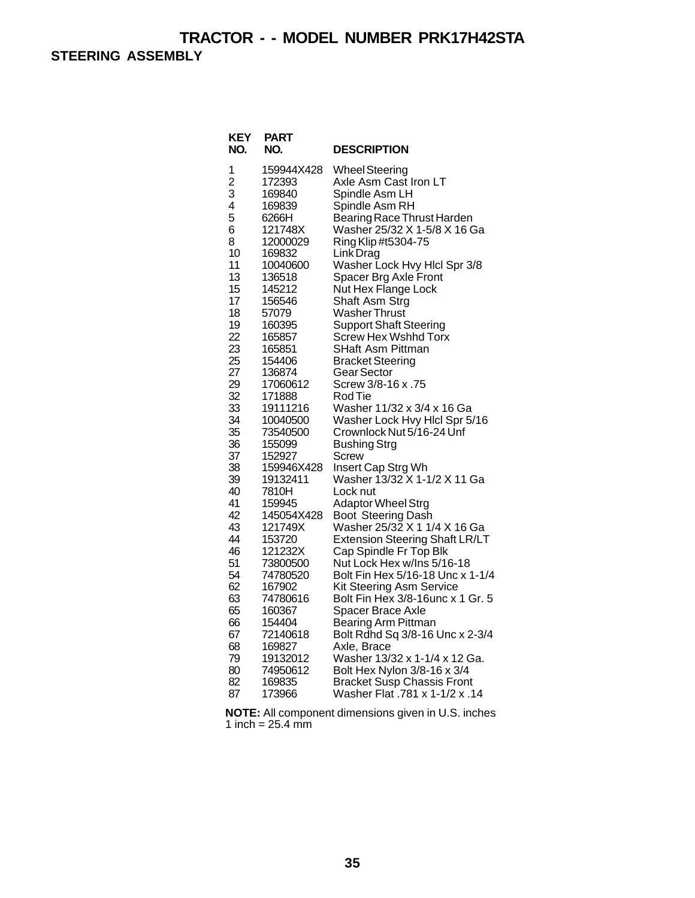**STEERING ASSEMBLY**

| KEY<br>NO.     | <b>PART</b><br>NO.   | <b>DESCRIPTION</b>                                                  |
|----------------|----------------------|---------------------------------------------------------------------|
| 1              | 159944X428           | <b>Wheel Steering</b>                                               |
| $\overline{2}$ | 172393               | Axle Asm Cast Iron LT                                               |
| 3              | 169840               | Spindle Asm LH                                                      |
| 4<br>5         | 169839<br>6266H      | Spindle Asm RH<br>Bearing Race Thrust Harden                        |
| 6              | 121748X              | Washer 25/32 X 1-5/8 X 16 Ga                                        |
| 8              | 12000029             | Ring Klip #t5304-75                                                 |
| 10             | 169832               | Link Drag                                                           |
| 11             | 10040600             | Washer Lock Hvy Hlcl Spr 3/8                                        |
| 13             | 136518               | Spacer Brg Axle Front                                               |
| 15             | 145212               | Nut Hex Flange Lock                                                 |
| 17             | 156546               | Shaft Asm Strg                                                      |
| 18             | 57079                | <b>Washer Thrust</b>                                                |
| 19             | 160395               | <b>Support Shaft Steering</b>                                       |
| 22<br>23       | 165857<br>165851     | <b>Screw Hex Wshhd Torx</b><br><b>SHaft Asm Pittman</b>             |
| 25             | 154406               | <b>Bracket Steering</b>                                             |
| 27             | 136874               | Gear Sector                                                         |
| 29             | 17060612             | Screw 3/8-16 x .75                                                  |
| 32             | 171888               | Rod Tie                                                             |
| 33             | 19111216             | Washer 11/32 x 3/4 x 16 Ga                                          |
| 34             | 10040500             | Washer Lock Hvy Hicl Spr 5/16                                       |
| 35             | 73540500             | Crownlock Nut 5/16-24 Unf                                           |
| 36<br>37       | 155099               | <b>Bushing Strg</b>                                                 |
| 38             | 152927<br>159946X428 | <b>Screw</b><br>Insert Cap Strg Wh                                  |
| 39             | 19132411             | Washer 13/32 X 1-1/2 X 11 Ga                                        |
| 40             | 7810H                | Lock nut                                                            |
| 41             | 159945               | Adaptor Wheel Strg                                                  |
| 42             | 145054X428           | Boot Steering Dash                                                  |
| 43             | 121749X              | Washer 25/32 X 1 1/4 X 16 Ga                                        |
| 44             | 153720               | <b>Extension Steering Shaft LR/LT</b>                               |
| 46             | 121232X              | Cap Spindle Fr Top Blk                                              |
| 51<br>54       | 73800500<br>74780520 | Nut Lock Hex w/Ins 5/16-18<br>Bolt Fin Hex 5/16-18 Unc x 1-1/4      |
| 62             | 167902               | Kit Steering Asm Service                                            |
| 63             | 74780616             | Bolt Fin Hex 3/8-16unc x 1 Gr. 5                                    |
| 65             | 160367               | Spacer Brace Axle                                                   |
| 66             | 154404               | <b>Bearing Arm Pittman</b>                                          |
| 67             | 72140618             | Bolt Rdhd Sq 3/8-16 Unc x 2-3/4                                     |
| 68             | 169827               | Axle, Brace                                                         |
| 79             | 19132012             | Washer 13/32 x 1-1/4 x 12 Ga.                                       |
| 80             | 74950612             | Bolt Hex Nylon 3/8-16 x 3/4                                         |
| 82<br>87       | 169835<br>173966     | <b>Bracket Susp Chassis Front</b><br>Washer Flat .781 x 1-1/2 x .14 |
|                |                      |                                                                     |

**NOTE:** All component dimensions given in U.S. inches 1 inch =  $25.4 \text{ mm}$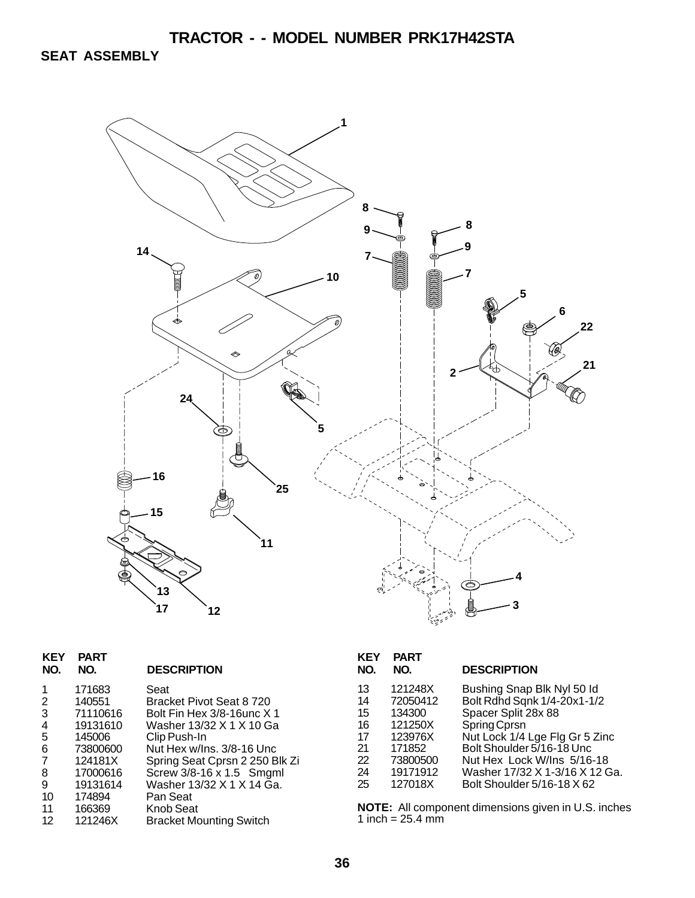**SEAT ASSEMBLY**



| 171683<br>Seat<br>1                             |  |
|-------------------------------------------------|--|
| 140551<br>Bracket Pivot Seat 8 720<br>2         |  |
| Bolt Fin Hex 3/8-16unc X 1<br>3<br>71110616     |  |
| 19131610<br>4<br>Washer 13/32 X 1 X 10 Ga       |  |
| 5<br>145006<br>Clip Push-In                     |  |
| Nut Hex w/Ins. 3/8-16 Unc<br>6<br>73800600      |  |
| Spring Seat Cprsn 2 250 Blk Zi<br>124181X<br>7  |  |
| Screw 3/8-16 x 1.5 Smgml<br>17000616<br>8       |  |
| Washer 13/32 X 1 X 14 Ga.<br>9<br>19131614      |  |
| 10<br>174894<br>Pan Seat                        |  |
| <b>Knob Seat</b><br>166369<br>11                |  |
| 121246X<br>12<br><b>Bracket Mounting Switch</b> |  |

| KEY<br>NO. | <b>PART</b><br>NO. | <b>DESCRIPTION</b>             |
|------------|--------------------|--------------------------------|
| 13         | 121248X            | Bushing Snap Blk Nyl 50 ld     |
| 14         | 72050412           | Bolt Rdhd Sqnk 1/4-20x1-1/2    |
| 15         | 134300             | Spacer Split 28x 88            |
| 16         | 121250X            | Spring Cprsn                   |
| 17         | 123976X            | Nut Lock 1/4 Lge Flg Gr 5 Zinc |
| 21         | 171852             | Bolt Shoulder 5/16-18 Unc.     |
| 22         | 73800500           | Nut Hex Lock W/Ins 5/16-18     |
| 24         | 19171912           | Washer 17/32 X 1-3/16 X 12 Ga. |
| 25         | 127018X            | Bolt Shoulder 5/16-18 X 62     |

**NOTE:** All component dimensions given in U.S. inches 1 inch =  $25.4 \, \text{mm}$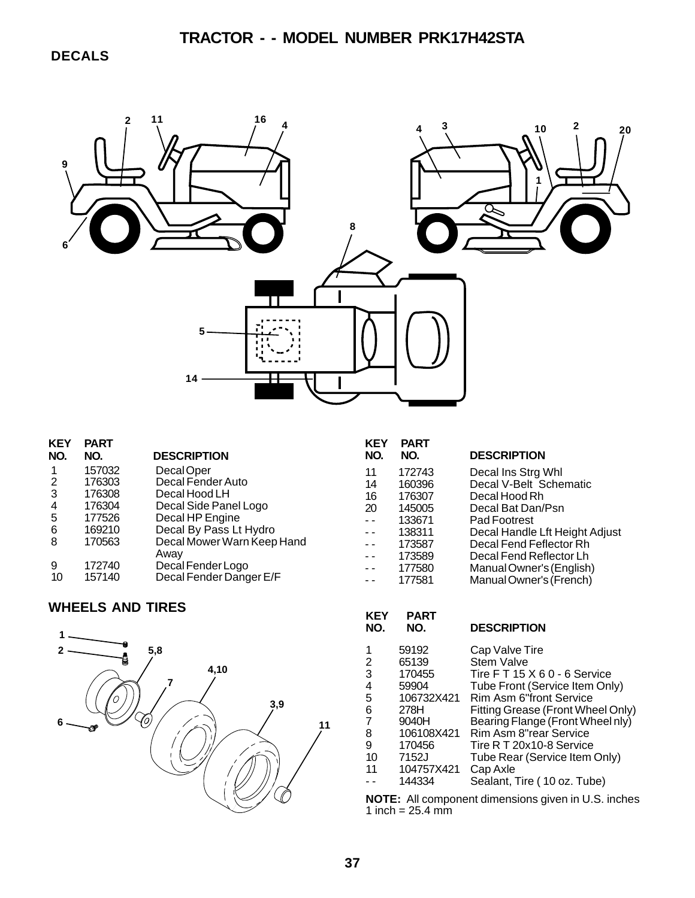**DECALS**



| <b>KEY</b> | <b>PART</b> |                            | ΚE        |
|------------|-------------|----------------------------|-----------|
| NO.        | NO.         | <b>DESCRIPTION</b>         | <b>NC</b> |
| 1          | 157032      | Decal Oper                 | 11        |
| 2          | 176303      | Decal Fender Auto          | 14        |
| 3          | 176308      | Decal Hood LH              | 16        |
| 4          | 176304      | Decal Side Panel Logo      | 20        |
| 5          | 177526      | Decal HP Engine            |           |
| 6          | 169210      | Decal By Pass Lt Hydro     |           |
| 8          | 170563      | Decal Mower Warn Keep Hand |           |
|            |             | Away                       |           |
| 9          | 172740      | Decal Fender Logo          |           |
| 10         | 157140      | Decal Fender Danger E/F    |           |
|            |             |                            |           |

### **WHEELS AND TIRES**



| KEY<br>NO.               | <b>PART</b><br>NO. | <b>DESCRIPTION</b>             |
|--------------------------|--------------------|--------------------------------|
| 11                       | 172743             | Decal Ins Strg Whl             |
| 14                       | 160396             | Decal V-Belt Schematic         |
| 16                       | 176307             | Decal Hood Rh                  |
| 20                       | 145005             | Decal Bat Dan/Psn              |
| $\overline{a}$           | 133671             | Pad Footrest                   |
|                          | 138311             | Decal Handle Lft Height Adjust |
|                          | 173587             | Decal Fend Feflector Rh        |
| $\ddotsc$                | 173589             | Decal Fend Reflector Lh        |
| . .                      | 177580             | Manual Owner's (English)       |
| $\overline{\phantom{a}}$ | 177581             | Manual Owner's (French)        |

#### **KEY PART DESCRIPTION** 1 59192 Cap Valve Tire<br>2 65139 Stem Valve 2 65139 Stem Valve<br>
3 170455 Tire F T 15<br>
4 59904 Tube Front (<br>
5 106732X421 Rim Asm 6"<br>
6 278H Fitting Greas<br>
7 9040H Bearing Flar<br>
8 106108X421 Rim Asm 8"<br>
9 170456 Tire R T 20x 170455 Tire F T 15 X 6 0 - 6 Service<br>59904 Tube Front (Service Item Onl 4 59904 Tube Front (Service Item Only) 5 106732X421 Rim Asm 6"front Service 6 278H Fitting Grease (Front Wheel Only) 7 9040H Bearing Flange (Front Wheel nly) 8 106108X421 Rim Asm 8"rear Service 9 170456 Tire R T 20x10-8 Service<br>10 7152J Tube Rear (Service Item 10 7152J Tube Rear (Service Item Only)<br>11 104757X421 Cap Axle 11 104757X421<br>- - 144334 Sealant, Tire ( 10 oz. Tube)

**NOTE:** All component dimensions given in U.S. inches 1  $inch = 25.4$  mm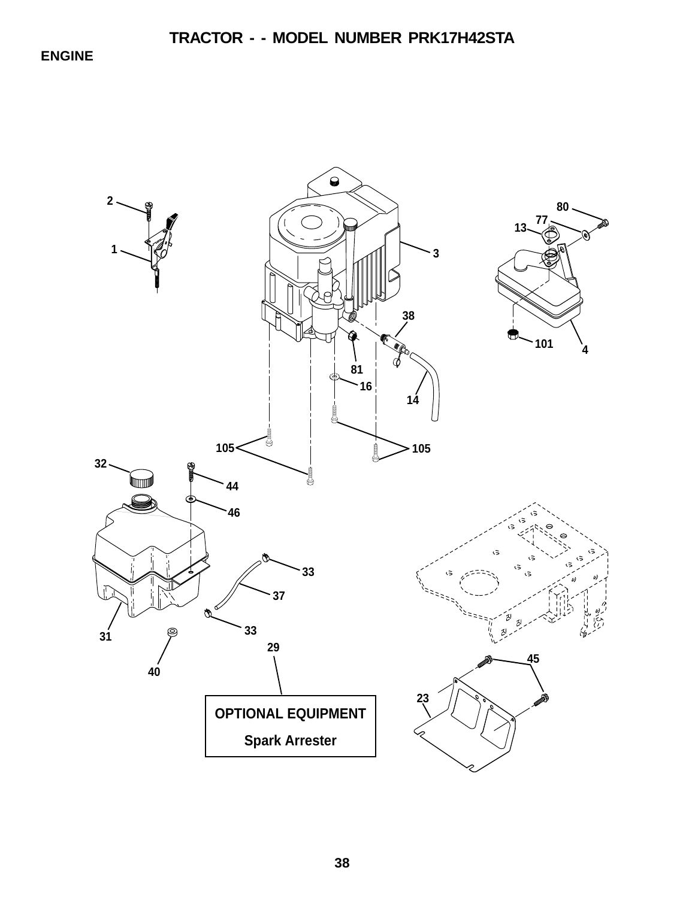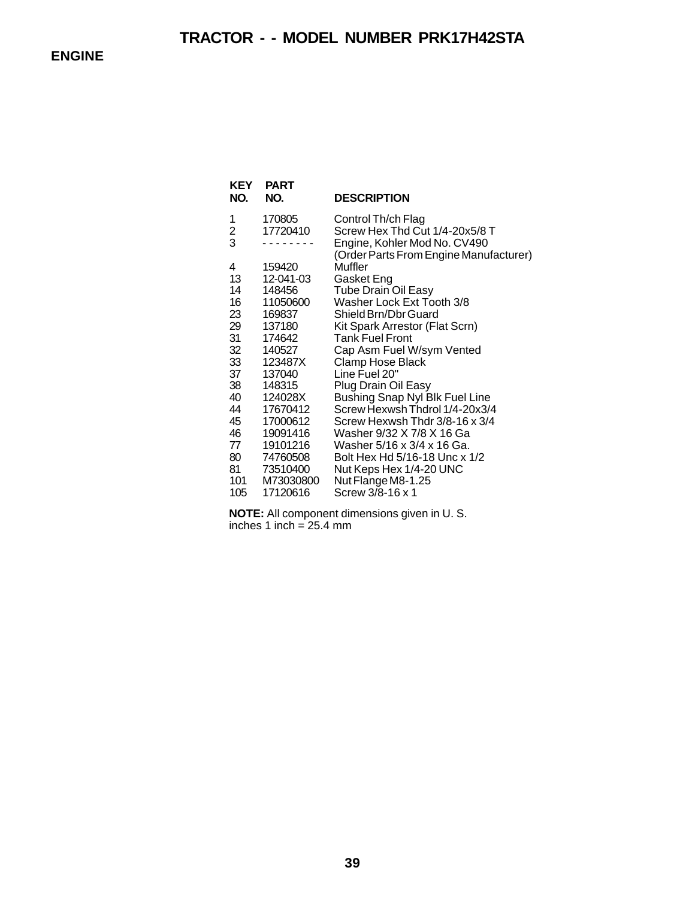| KEY<br>NO.    | <b>PART</b><br>NO. | <b>DESCRIPTION</b>                     |
|---------------|--------------------|----------------------------------------|
| 1             | 170805             | Control Th/ch Flag                     |
|               | 17720410           | Screw Hex Thd Cut 1/4-20x5/8 T         |
| $\frac{2}{3}$ |                    | Engine, Kohler Mod No. CV490           |
|               |                    | (Order Parts From Engine Manufacturer) |
| 4             | 159420             | Muffler                                |
| 13.           | 12-041-03          | Gasket Eng                             |
| 14            | 148456             | <b>Tube Drain Oil Easy</b>             |
| 16            | 11050600           | Washer Lock Ext Tooth 3/8              |
| 23            | 169837             | Shield Brn/Dbr Guard                   |
| 29            | 137180             | Kit Spark Arrestor (Flat Scrn)         |
| 31            | 174642             | <b>Tank Fuel Front</b>                 |
| 32            | 140527             | Cap Asm Fuel W/sym Vented              |
| 33            | 123487X            | Clamp Hose Black                       |
| 37            | 137040             | Line Fuel 20"                          |
| 38            | 148315             | Plug Drain Oil Easy                    |
| 40            | 124028X            | Bushing Snap Nyl Blk Fuel Line         |
| 44            | 17670412           | Screw Hexwsh Thdrol 1/4-20x3/4         |
| 45            | 17000612           | Screw Hexwsh Thdr 3/8-16 x 3/4         |
| 46            | 19091416           | Washer 9/32 X 7/8 X 16 Ga              |
| 77            | 19101216           | Washer 5/16 x 3/4 x 16 Ga.             |
| 80            | 74760508           | Bolt Hex Hd 5/16-18 Unc x 1/2          |
| 81            | 73510400           | Nut Keps Hex 1/4-20 UNC                |
| 101           | M73030800          | Nut Flange M8-1.25                     |
| 105           | 17120616           | Screw 3/8-16 x 1                       |

**NOTE:** All component dimensions given in U. S. inches 1 inch = 25.4 mm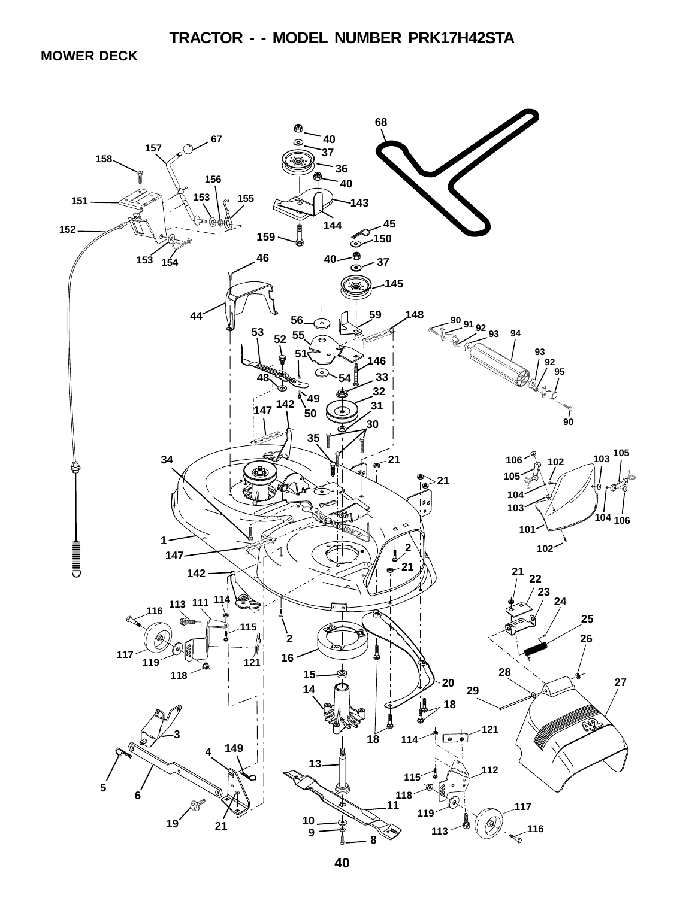**MOWER DECK**

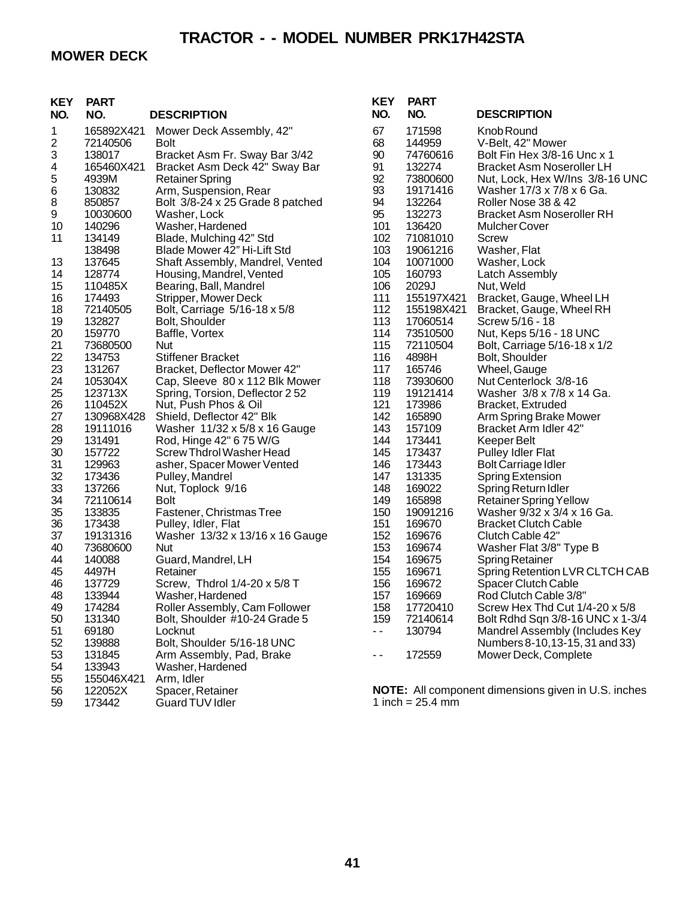## **MOWER DECK**

| <b>KEY</b> | <b>PART</b>        |                                               | <b>KEY</b> | <b>PART</b>        |                                                            |
|------------|--------------------|-----------------------------------------------|------------|--------------------|------------------------------------------------------------|
| NO.        | NO.                | <b>DESCRIPTION</b>                            | NO.        | NO.                | <b>DESCRIPTION</b>                                         |
| 1          | 165892X421         | Mower Deck Assembly, 42"                      | 67         | 171598             | Knob Round                                                 |
| 2          | 72140506           | <b>Bolt</b>                                   | 68         | 144959             | V-Belt, 42" Mower                                          |
| 3          | 138017             | Bracket Asm Fr. Sway Bar 3/42                 | 90         | 74760616           | Bolt Fin Hex 3/8-16 Unc x 1                                |
| 4          | 165460X421         | Bracket Asm Deck 42" Sway Bar                 | 91         | 132274             | <b>Bracket Asm Noseroller LH</b>                           |
| 5          | 4939M              | <b>Retainer Spring</b>                        | 92         | 73800600           | Nut, Lock, Hex W/Ins 3/8-16 UNC                            |
| 6          | 130832             | Arm, Suspension, Rear                         | 93         | 19171416           | Washer 17/3 x 7/8 x 6 Ga.                                  |
| 8          | 850857             | Bolt 3/8-24 x 25 Grade 8 patched              | 94         | 132264             | Roller Nose 38 & 42                                        |
| 9          | 10030600           | Washer, Lock                                  | 95         | 132273             | <b>Bracket Asm Noseroller RH</b>                           |
| 10         | 140296             | Washer, Hardened                              | 101        | 136420             | <b>Mulcher Cover</b>                                       |
| 11         | 134149             | Blade, Mulching 42" Std                       | 102        | 71081010           | Screw                                                      |
|            | 138498             | Blade Mower 42" Hi-Lift Std                   | 103        | 19061216           | Washer, Flat                                               |
| 13         | 137645             | Shaft Assembly, Mandrel, Vented               | 104        | 10071000           | Washer, Lock                                               |
| 14         | 128774             | Housing, Mandrel, Vented                      | 105        | 160793             | Latch Assembly                                             |
| 15         | 110485X            | Bearing, Ball, Mandrel                        | 106        | 2029J              | Nut, Weld                                                  |
| 16         | 174493             | Stripper, Mower Deck                          | 111        | 155197X421         | Bracket, Gauge, Wheel LH                                   |
| 18         | 72140505           | Bolt, Carriage 5/16-18 x 5/8                  | 112        | 155198X421         | Bracket, Gauge, Wheel RH                                   |
| 19         | 132827             | Bolt, Shoulder                                | 113        | 17060514           | Screw 5/16 - 18                                            |
| 20         | 159770             | Baffle, Vortex                                | 114        | 73510500           | Nut, Keps 5/16 - 18 UNC                                    |
| 21         | 73680500           | Nut                                           | 115        | 72110504           | Bolt, Carriage 5/16-18 x 1/2                               |
| 22         | 134753             | <b>Stiffener Bracket</b>                      | 116        | 4898H              | Bolt, Shoulder                                             |
| 23         | 131267             | Bracket, Deflector Mower 42"                  | 117        | 165746             | Wheel, Gauge                                               |
| 24         | 105304X            | Cap, Sleeve 80 x 112 Blk Mower                | 118        | 73930600           | Nut Centerlock 3/8-16                                      |
| 25         | 123713X            | Spring, Torsion, Deflector 252                | 119        | 19121414           | Washer 3/8 x 7/8 x 14 Ga.                                  |
| 26         | 110452X            | Nut, Push Phos & Oil                          | 121        | 173986             | Bracket, Extruded                                          |
| 27         | 130968X428         | Shield, Deflector 42" Blk                     | 142        | 165890             | Arm Spring Brake Mower                                     |
| 28         | 19111016           | Washer 11/32 x 5/8 x 16 Gauge                 | 143        | 157109             | Bracket Arm Idler 42"                                      |
| 29         | 131491             | Rod, Hinge 42" 6 75 W/G                       | 144        | 173441             | Keeper Belt                                                |
| 30         | 157722             | Screw Thdrol Washer Head                      | 145        | 173437             | <b>Pulley Idler Flat</b>                                   |
| 31         | 129963             | asher, Spacer Mower Vented                    | 146        | 173443             | <b>Bolt Carriage Idler</b>                                 |
| 32         | 173436             | Pulley, Mandrel                               | 147        | 131335             | Spring Extension                                           |
| 33         | 137266<br>72110614 | Nut, Toplock 9/16                             | 148<br>149 | 169022             | Spring Return Idler                                        |
| 34         |                    | <b>Bolt</b>                                   | 150        | 165898<br>19091216 | <b>Retainer Spring Yellow</b>                              |
| 35         | 133835             | Fastener, Christmas Tree                      | 151        |                    | Washer 9/32 x 3/4 x 16 Ga.                                 |
| 36<br>37   | 173438<br>19131316 | Pulley, Idler, Flat                           | 152        | 169670<br>169676   | <b>Bracket Clutch Cable</b><br>Clutch Cable 42"            |
| 40         | 73680600           | Washer 13/32 x 13/16 x 16 Gauge<br><b>Nut</b> | 153        | 169674             |                                                            |
| 44         | 140088             |                                               | 154        | 169675             | Washer Flat 3/8" Type B                                    |
| 45         | 4497H              | Guard, Mandrel, LH<br>Retainer                | 155        | 169671             | <b>Spring Retainer</b><br>Spring Retention LVR CLTCH CAB   |
| 46         | 137729             | Screw, Thdrol 1/4-20 x 5/8 T                  | 156        | 169672             | <b>Spacer Clutch Cable</b>                                 |
| 48         | 133944             | Washer, Hardened                              | 157        | 169669             | Rod Clutch Cable 3/8"                                      |
| 49         | 174284             | Roller Assembly, Cam Follower                 | 158        | 17720410           | Screw Hex Thd Cut 1/4-20 x 5/8                             |
| 50         | 131340             | Bolt, Shoulder #10-24 Grade 5                 | 159        | 72140614           | Bolt Rdhd Sqn 3/8-16 UNC x 1-3/4                           |
| 51         | 69180              | Locknut                                       | - -        | 130794             | Mandrel Assembly (Includes Key                             |
| 52         | 139888             | Bolt, Shoulder 5/16-18 UNC                    |            |                    | Numbers 8-10, 13-15, 31 and 33)                            |
| 53         | 131845             | Arm Assembly, Pad, Brake                      |            | 172559             | Mower Deck, Complete                                       |
| 54         | 133943             | Washer, Hardened                              | - -        |                    |                                                            |
| 55         | 155046X421         | Arm, Idler                                    |            |                    |                                                            |
| 56         | 122052X            | Spacer, Retainer                              |            |                    | <b>NOTE:</b> All component dimensions given in U.S. inches |
| 59         | 173442             | <b>Guard TUV Idler</b>                        |            | 1 inch = $25.4$ mm |                                                            |
|            |                    |                                               |            |                    |                                                            |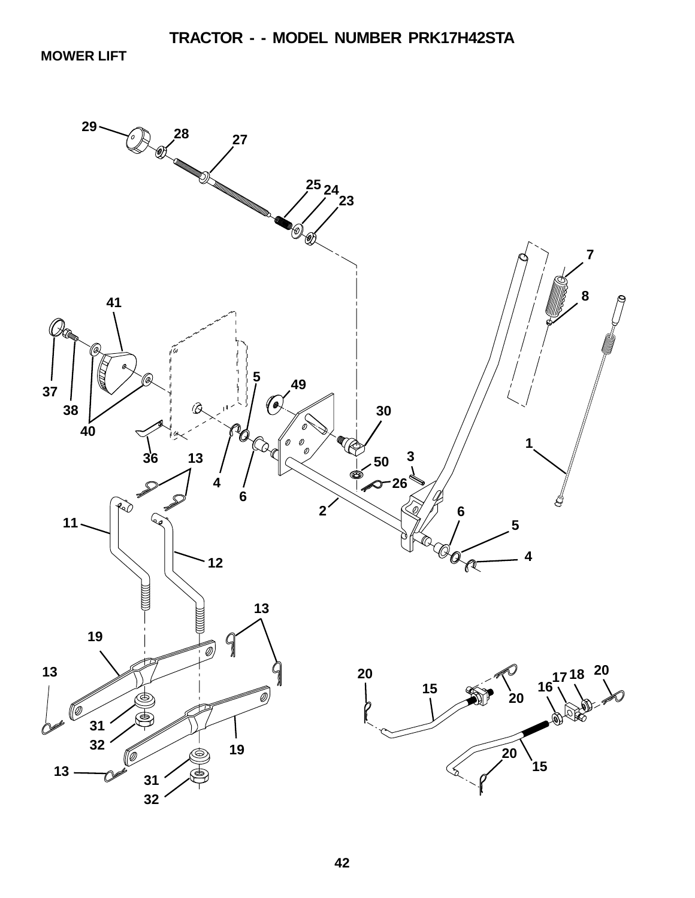**MOWER LIFT**